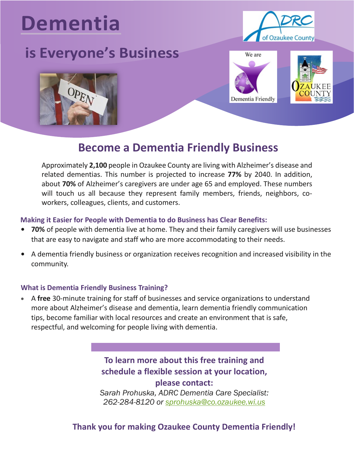# **Dementia**

# **is Everyone's Business**









## **Become a Dementia Friendly Business**

Approximately **2,100** people in Ozaukee County are living with Alzheimer's disease and related dementias. This number is projected to increase **77%** by 2040. In addition, about **70%** of Alzheimer's caregivers are under age 65 and employed. These numbers will touch us all because they represent family members, friends, neighbors, coworkers, colleagues, clients, and customers.

#### **Making it Easier for People with Dementia to do Business has Clear Benefits:**

- **• 70%** of people with dementia live at home. They and their family caregivers will use businesses that are easy to navigate and staff who are more accommodating to their needs.
- **•** A dementia friendly business or organization receives recognition and increased visibility in the community.

#### **What is Dementia Friendly Business Training?**

• A **free** 30-minute training for staff of businesses and service organizations to understand more about Alzheimer's disease and dementia, learn dementia friendly communication tips, become familiar with local resources and create an environment that is safe, respectful, and welcoming for people living with dementia.

### **To learn more about this free training and schedule a flexible session at your location, please contact:**

*Sarah Prohuska, ADRC Dementia Care Specialist: 262-284-8120 or [sprohuska@co.ozaukee.wi.us](mailto:sprohuska@co.ozaukee.wi.us)*

#### **Thank you for making Ozaukee County Dementia Friendly!**